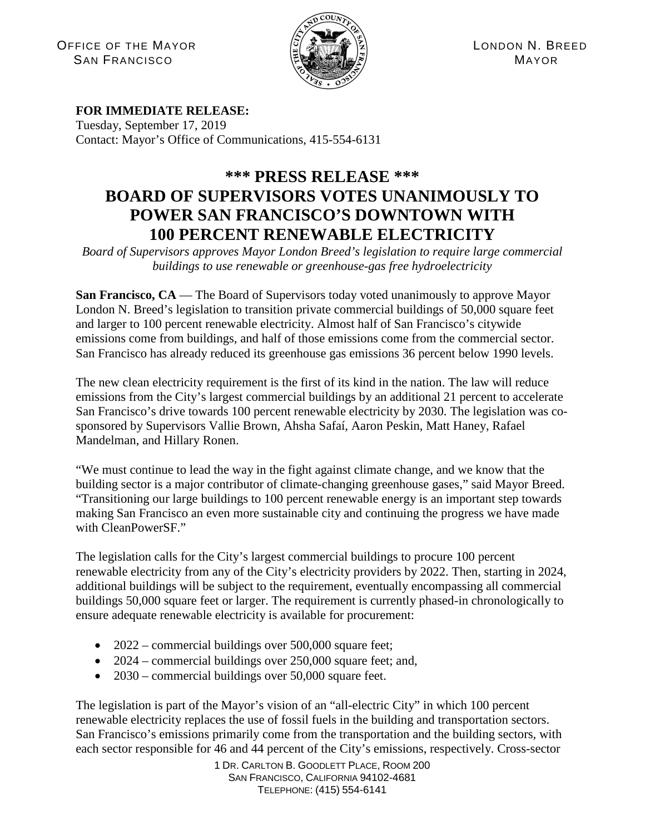OFFICE OF THE MAYOR  $\left|\frac{S}{S}\right|$  and  $\left|\frac{S}{S}\right|$  is the component of the component of the component of the component of the component of the component of the component of the component of the component of the component  $S$ AN FRANCISCO  $\left(\mathbb{E} \right)$   $\left(\mathbb{E} \right)$   $\left(\mathbb{E} \right)$   $\left(\mathbb{E} \right)$   $\left(\mathbb{E} \right)$   $\left(\mathbb{E} \right)$   $\left(\mathbb{E} \right)$   $\left(\mathbb{E} \right)$   $\left(\mathbb{E} \right)$   $\left(\mathbb{E} \right)$   $\left(\mathbb{E} \right)$   $\left(\mathbb{E} \right)$   $\left(\mathbb{E} \right)$   $\left(\mathbb{E} \right)$   $\left(\mathbb{E}$ 



## **FOR IMMEDIATE RELEASE:**

Tuesday, September 17, 2019 Contact: Mayor's Office of Communications, 415-554-6131

## **\*\*\* PRESS RELEASE \*\*\* BOARD OF SUPERVISORS VOTES UNANIMOUSLY TO POWER SAN FRANCISCO'S DOWNTOWN WITH 100 PERCENT RENEWABLE ELECTRICITY**

*Board of Supervisors approves Mayor London Breed's legislation to require large commercial buildings to use renewable or greenhouse-gas free hydroelectricity*

**San Francisco, CA** — The Board of Supervisors today voted unanimously to approve Mayor London N. Breed's legislation to transition private commercial buildings of 50,000 square feet and larger to 100 percent renewable electricity. Almost half of San Francisco's citywide emissions come from buildings, and half of those emissions come from the commercial sector. San Francisco has already reduced its greenhouse gas emissions 36 percent below 1990 levels.

The new clean electricity requirement is the first of its kind in the nation. The law will reduce emissions from the City's largest commercial buildings by an additional 21 percent to accelerate San Francisco's drive towards 100 percent renewable electricity by 2030. The legislation was cosponsored by Supervisors Vallie Brown, Ahsha Safaí, Aaron Peskin, Matt Haney, Rafael Mandelman, and Hillary Ronen.

"We must continue to lead the way in the fight against climate change, and we know that the building sector is a major contributor of climate-changing greenhouse gases," said Mayor Breed. "Transitioning our large buildings to 100 percent renewable energy is an important step towards making San Francisco an even more sustainable city and continuing the progress we have made with CleanPowerSF."

The legislation calls for the City's largest commercial buildings to procure 100 percent renewable electricity from any of the City's electricity providers by 2022. Then, starting in 2024, additional buildings will be subject to the requirement, eventually encompassing all commercial buildings 50,000 square feet or larger. The requirement is currently phased-in chronologically to ensure adequate renewable electricity is available for procurement:

- 2022 commercial buildings over 500,000 square feet;
- 2024 commercial buildings over 250,000 square feet; and,
- 2030 commercial buildings over 50,000 square feet.

The legislation is part of the Mayor's vision of an "all-electric City" in which 100 percent renewable electricity replaces the use of fossil fuels in the building and transportation sectors. San Francisco's emissions primarily come from the transportation and the building sectors, with each sector responsible for 46 and 44 percent of the City's emissions, respectively. Cross-sector

> 1 DR. CARLTON B. GOODLETT PLACE, ROOM 200 SAN FRANCISCO, CALIFORNIA 94102-4681 TELEPHONE: (415) 554-6141